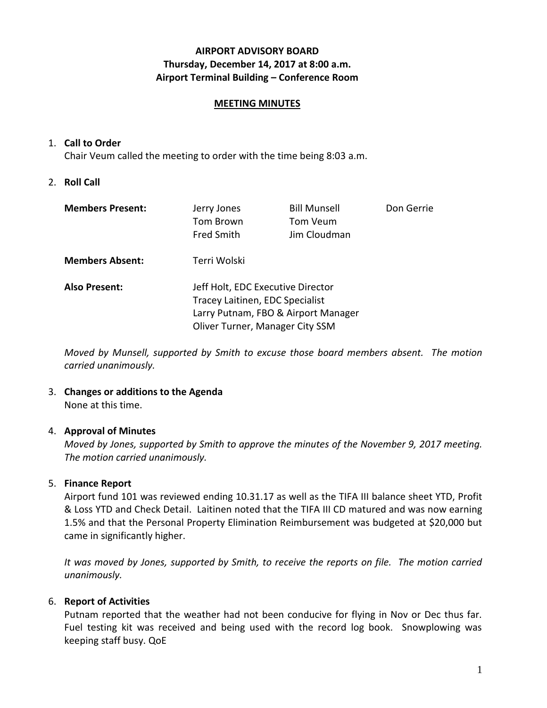# **AIRPORT ADVISORY BOARD Thursday, December 14, 2017 at 8:00 a.m. Airport Terminal Building – Conference Room**

## **MEETING MINUTES**

## 1. **Call to Order**

Chair Veum called the meeting to order with the time being 8:03 a.m.

# 2. **Roll Call**

| <b>Members Present:</b> | Jerry Jones<br>Tom Brown<br><b>Fred Smith</b>                                                                                                  | <b>Bill Munsell</b><br>Tom Veum<br>Jim Cloudman | Don Gerrie |
|-------------------------|------------------------------------------------------------------------------------------------------------------------------------------------|-------------------------------------------------|------------|
| <b>Members Absent:</b>  | Terri Wolski                                                                                                                                   |                                                 |            |
| <b>Also Present:</b>    | Jeff Holt, EDC Executive Director<br>Tracey Laitinen, EDC Specialist<br>Larry Putnam, FBO & Airport Manager<br>Oliver Turner, Manager City SSM |                                                 |            |

*Moved by Munsell, supported by Smith to excuse those board members absent. The motion carried unanimously.*

# 3. **Changes or additions to the Agenda**

None at this time.

# 4. **Approval of Minutes**

*Moved by Jones, supported by Smith to approve the minutes of the November 9, 2017 meeting. The motion carried unanimously.*

# 5. **Finance Report**

Airport fund 101 was reviewed ending 10.31.17 as well as the TIFA III balance sheet YTD, Profit & Loss YTD and Check Detail. Laitinen noted that the TIFA III CD matured and was now earning 1.5% and that the Personal Property Elimination Reimbursement was budgeted at \$20,000 but came in significantly higher.

*It was moved by Jones, supported by Smith, to receive the reports on file. The motion carried unanimously.*

# 6. **Report of Activities**

Putnam reported that the weather had not been conducive for flying in Nov or Dec thus far. Fuel testing kit was received and being used with the record log book. Snowplowing was keeping staff busy. QoE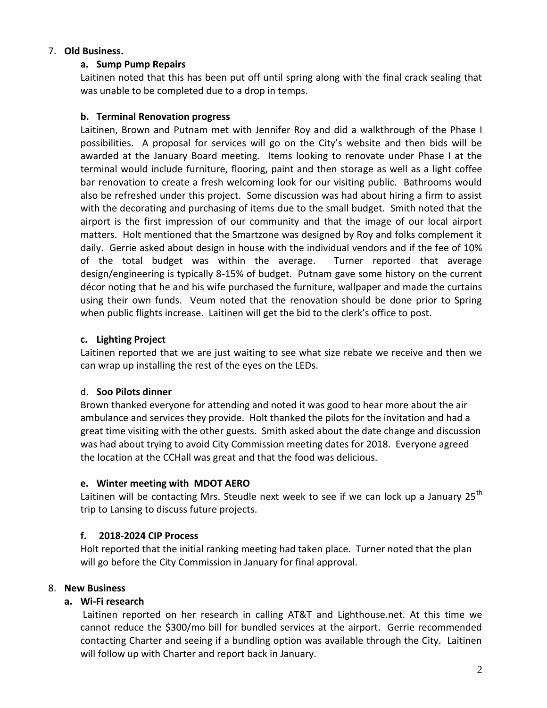## 7. **Old Business.**

## **a. Sump Pump Repairs**

Laitinen noted that this has been put off until spring along with the final crack sealing that was unable to be completed due to a drop in temps.

## **b. Terminal Renovation progress**

Laitinen, Brown and Putnam met with Jennifer Roy and did a walkthrough of the Phase I possibilities. A proposal for services will go on the City's website and then bids will be awarded at the January Board meeting. Items looking to renovate under Phase I at the terminal would include furniture, flooring, paint and then storage as well as a light coffee bar renovation to create a fresh welcoming look for our visiting public. Bathrooms would also be refreshed under this project. Some discussion was had about hiring a firm to assist with the decorating and purchasing of items due to the small budget. Smith noted that the airport is the first impression of our community and that the image of our local airport matters. Holt mentioned that the Smartzone was designed by Roy and folks complement it daily. Gerrie asked about design in house with the individual vendors and if the fee of 10% of the total budget was within the average. Turner reported that average design/engineering is typically 8-15% of budget. Putnam gave some history on the current décor noting that he and his wife purchased the furniture, wallpaper and made the curtains using their own funds. Veum noted that the renovation should be done prior to Spring when public flights increase. Laitinen will get the bid to the clerk's office to post.

## **c. Lighting Project**

Laitinen reported that we are just waiting to see what size rebate we receive and then we can wrap up installing the rest of the eyes on the LEDs.

## d. **Soo Pilots dinner**

Brown thanked everyone for attending and noted it was good to hear more about the air ambulance and services they provide. Holt thanked the pilots for the invitation and had a great time visiting with the other guests. Smith asked about the date change and discussion was had about trying to avoid City Commission meeting dates for 2018. Everyone agreed the location at the CCHall was great and that the food was delicious.

# **e. Winter meeting with MDOT AERO**

Laitinen will be contacting Mrs. Steudle next week to see if we can lock up a January 25<sup>th</sup> trip to Lansing to discuss future projects.

## **f. 2018-2024 CIP Process**

Holt reported that the initial ranking meeting had taken place. Turner noted that the plan will go before the City Commission in January for final approval.

## 8. **New Business**

## **a. Wi-Fi research**

Laitinen reported on her research in calling AT&T and Lighthouse.net. At this time we cannot reduce the \$300/mo bill for bundled services at the airport. Gerrie recommended contacting Charter and seeing if a bundling option was available through the City. Laitinen will follow up with Charter and report back in January.